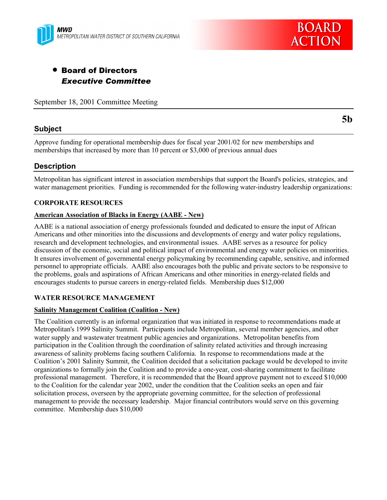



# • Board of Directors *Executive Committee*

September 18, 2001 Committee Meeting

## **Subject**

**5b**

Approve funding for operational membership dues for fiscal year 2001/02 for new memberships and memberships that increased by more than 10 percent or \$3,000 of previous annual dues

## **Description**

Metropolitan has significant interest in association memberships that support the Board's policies, strategies, and water management priorities. Funding is recommended for the following water-industry leadership organizations:

## **CORPORATE RESOURCES**

#### **American Association of Blacks in Energy (AABE - New)**

AABE is a national association of energy professionals founded and dedicated to ensure the input of African Americans and other minorities into the discussions and developments of energy and water policy regulations, research and development technologies, and environmental issues. AABE serves as a resource for policy discussion of the economic, social and political impact of environmental and energy water policies on minorities. It ensures involvement of governmental energy policymaking by recommending capable, sensitive, and informed personnel to appropriate officials. AABE also encourages both the public and private sectors to be responsive to the problems, goals and aspirations of African Americans and other minorities in energy-related fields and encourages students to pursue careers in energy-related fields. Membership dues \$12,000

## **WATER RESOURCE MANAGEMENT**

#### **Salinity Management Coalition (Coalition - New)**

The Coalition currently is an informal organization that was initiated in response to recommendations made at Metropolitan's 1999 Salinity Summit. Participants include Metropolitan, several member agencies, and other water supply and wastewater treatment public agencies and organizations. Metropolitan benefits from participation in the Coalition through the coordination of salinity related activities and through increasing awareness of salinity problems facing southern California. In response to recommendations made at the Coalition's 2001 Salinity Summit, the Coalition decided that a solicitation package would be developed to invite organizations to formally join the Coalition and to provide a one-year, cost-sharing commitment to facilitate professional management. Therefore, it is recommended that the Board approve payment not to exceed \$10,000 to the Coalition for the calendar year 2002, under the condition that the Coalition seeks an open and fair solicitation process, overseen by the appropriate governing committee, for the selection of professional management to provide the necessary leadership. Major financial contributors would serve on this governing committee. Membership dues \$10,000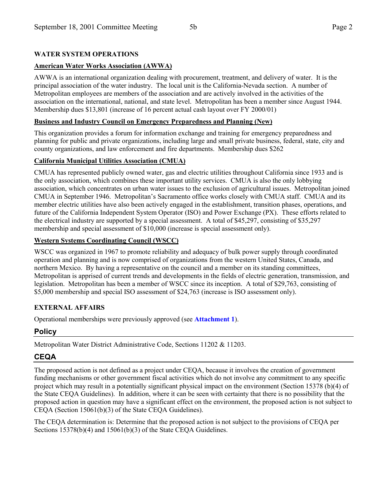## **WATER SYSTEM OPERATIONS**

## **American Water Works Association (AWWA)**

AWWA is an international organization dealing with procurement, treatment, and delivery of water. It is the principal association of the water industry. The local unit is the California-Nevada section. A number of Metropolitan employees are members of the association and are actively involved in the activities of the association on the international, national, and state level. Metropolitan has been a member since August 1944. Membership dues \$13,801 (increase of 16 percent actual cash layout over FY 2000/01)

## **Business and Industry Council on Emergency Preparedness and Planning (New)**

This organization provides a forum for information exchange and training for emergency preparedness and planning for public and private organizations, including large and small private business, federal, state, city and county organizations, and law enforcement and fire departments. Membership dues \$262

## **California Municipal Utilities Association (CMUA)**

CMUA has represented publicly owned water, gas and electric utilities throughout California since 1933 and is the only association, which combines these important utility services. CMUA is also the only lobbying association, which concentrates on urban water issues to the exclusion of agricultural issues. Metropolitan joined CMUA in September 1946. Metropolitanís Sacramento office works closely with CMUA staff. CMUA and its member electric utilities have also been actively engaged in the establishment, transition phases, operations, and future of the California Independent System Operator (ISO) and Power Exchange (PX). These efforts related to the electrical industry are supported by a special assessment. A total of \$45,297, consisting of \$35,297 membership and special assessment of \$10,000 (increase is special assessment only).

## **Western Systems Coordinating Council (WSCC)**

WSCC was organized in 1967 to promote reliability and adequacy of bulk power supply through coordinated operation and planning and is now comprised of organizations from the western United States, Canada, and northern Mexico. By having a representative on the council and a member on its standing committees, Metropolitan is apprised of current trends and developments in the fields of electric generation, transmission, and legislation. Metropolitan has been a member of WSCC since its inception. A total of \$29,763, consisting of \$5,000 membership and special ISO assessment of \$24,763 (increase is ISO assessment only).

## **EXTERNAL AFFAIRS**

Operational memberships were previously approved (see **Attachment 1**).

## **Policy**

Metropolitan Water District Administrative Code, Sections 11202 & 11203.

## **CEQA**

The proposed action is not defined as a project under CEQA, because it involves the creation of government funding mechanisms or other government fiscal activities which do not involve any commitment to any specific project which may result in a potentially significant physical impact on the environment (Section 15378 (b)(4) of the State CEQA Guidelines). In addition, where it can be seen with certainty that there is no possibility that the proposed action in question may have a significant effect on the environment, the proposed action is not subject to CEQA (Section 15061(b)(3) of the State CEQA Guidelines).

The CEQA determination is: Determine that the proposed action is not subject to the provisions of CEQA per Sections 15378(b)(4) and 15061(b)(3) of the State CEQA Guidelines.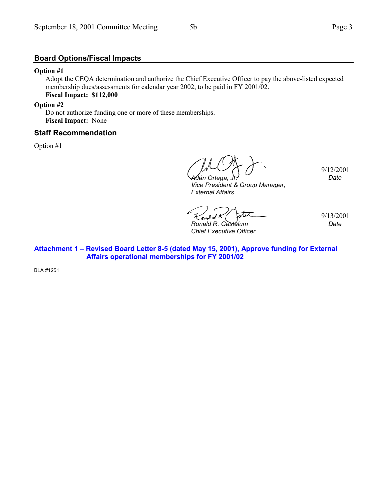#### **Option #1**

Adopt the CEQA determination and authorize the Chief Executive Officer to pay the above-listed expected membership dues/assessments for calendar year 2002, to be paid in FY 2001/02. **Fiscal Impact: \$112,000**

**Option #2**

Do not authorize funding one or more of these memberships. **Fiscal Impact:** None

#### **Staff Recommendation**

Option #1

9/12/2001 *Date*

*A⁄dán Ortega, Vice President & Group Manager, External Affairs*

9/13/2001

*Ronald R. Gastelum Chief Executive Officer* *Date*

Attachment 1 - Revised Board Letter 8-5 (dated May 15, 2001), Approve funding for External  **Affairs operational memberships for FY 2001/02**

BLA #1251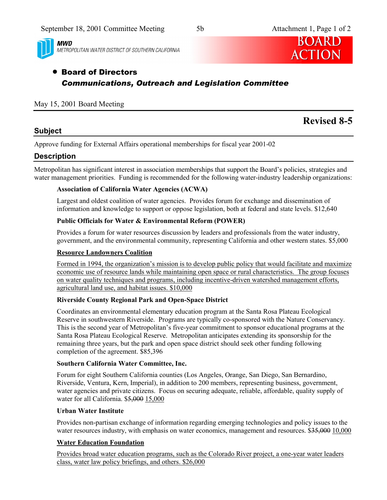

**MWD** METROPOLITAN WATER DISTRICT OF SOUTHERN CALIFORNIA



# • Board of Directors *Communications, Outreach and Legislation Committee*

## May 15, 2001 Board Meeting

## **Subject**

# **Revised 8-5**

Approve funding for External Affairs operational memberships for fiscal year 2001-02

## **Description**

Metropolitan has significant interest in association memberships that support the Board's policies, strategies and water management priorities. Funding is recommended for the following water-industry leadership organizations:

## **Association of California Water Agencies (ACWA)**

Largest and oldest coalition of water agencies. Provides forum for exchange and dissemination of information and knowledge to support or oppose legislation, both at federal and state levels. \$12,640

## **Public Officials for Water & Environmental Reform (POWER)**

Provides a forum for water resources discussion by leaders and professionals from the water industry, government, and the environmental community, representing California and other western states. \$5,000

## **Resource Landowners Coalition**

Formed in 1994, the organization's mission is to develop public policy that would facilitate and maximize economic use of resource lands while maintaining open space or rural characteristics. The group focuses on water quality techniques and programs, including incentive-driven watershed management efforts, agricultural land use, and habitat issues. \$10,000

## **Riverside County Regional Park and Open-Space District**

Coordinates an environmental elementary education program at the Santa Rosa Plateau Ecological Reserve in southwestern Riverside. Programs are typically co-sponsored with the Nature Conservancy. This is the second year of Metropolitan's five-year commitment to sponsor educational programs at the Santa Rosa Plateau Ecological Reserve. Metropolitan anticipates extending its sponsorship for the remaining three years, but the park and open space district should seek other funding following completion of the agreement. \$85,396

## **Southern California Water Committee, Inc.**

Forum for eight Southern California counties (Los Angeles, Orange, San Diego, San Bernardino, Riverside, Ventura, Kern, Imperial), in addition to 200 members, representing business, government, water agencies and private citizens. Focus on securing adequate, reliable, affordable, quality supply of water for all California. \$5,000 15,000

## **Urban Water Institute**

Provides non-partisan exchange of information regarding emerging technologies and policy issues to the water resources industry, with emphasis on water economics, management and resources. \$35,000 10,000

## **Water Education Foundation**

Provides broad water education programs, such as the Colorado River project, a one-year water leaders class, water law policy briefings, and others. \$26,000